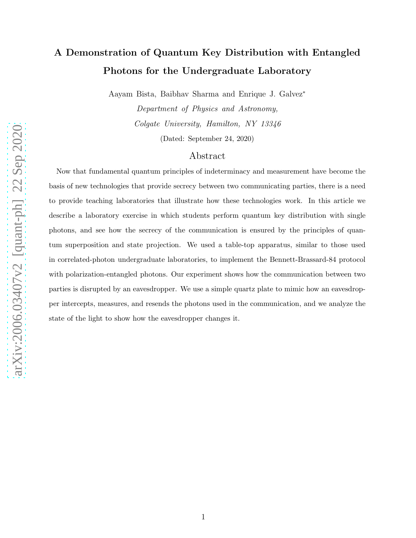# A Demonstration of Quantum Key Distribution with Entangled Photons for the Undergraduate Laboratory

Aayam Bista, Baibhav Sharma and Enrique J. Galvez<sup>∗</sup>

Department of Physics and Astronomy, Colgate University, Hamilton, NY 13346

(Dated: September 24, 2020)

## Abstract

Now that fundamental quantum principles of indeterminacy and measurement have become the basis of new technologies that provide secrecy between two communicating parties, there is a need to provide teaching laboratories that illustrate how these technologies work. In this article we describe a laboratory exercise in which students perform quantum key distribution with single photons, and see how the secrecy of the communication is ensured by the principles of quantum superposition and state projection. We used a table-top apparatus, similar to those used in correlated-photon undergraduate laboratories, to implement the Bennett-Brassard-84 protocol with polarization-entangled photons. Our experiment shows how the communication between two parties is disrupted by an eavesdropper. We use a simple quartz plate to mimic how an eavesdropper intercepts, measures, and resends the photons used in the communication, and we analyze the state of the light to show how the eavesdropper changes it.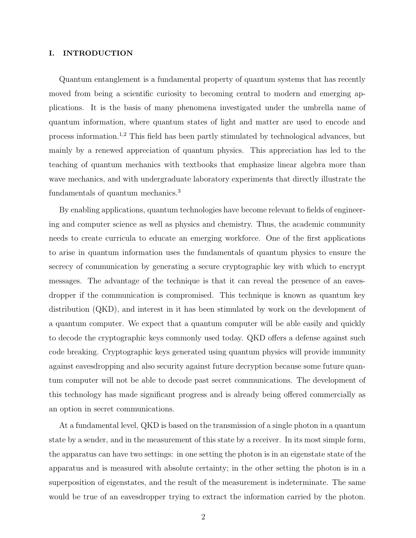#### I. INTRODUCTION

Quantum entanglement is a fundamental property of quantum systems that has recently moved from being a scientific curiosity to becoming central to modern and emerging applications. It is the basis of many phenomena investigated under the umbrella name of quantum information, where quantum states of light and matter are used to encode and process information.1,2 This field has been partly stimulated by technological advances, but mainly by a renewed appreciation of quantum physics. This appreciation has led to the teaching of quantum mechanics with textbooks that emphasize linear algebra more than wave mechanics, and with undergraduate laboratory experiments that directly illustrate the fundamentals of quantum mechanics.<sup>3</sup>

By enabling applications, quantum technologies have become relevant to fields of engineering and computer science as well as physics and chemistry. Thus, the academic community needs to create curricula to educate an emerging workforce. One of the first applications to arise in quantum information uses the fundamentals of quantum physics to ensure the secrecy of communication by generating a secure cryptographic key with which to encrypt messages. The advantage of the technique is that it can reveal the presence of an eavesdropper if the communication is compromised. This technique is known as quantum key distribution (QKD), and interest in it has been stimulated by work on the development of a quantum computer. We expect that a quantum computer will be able easily and quickly to decode the cryptographic keys commonly used today. QKD offers a defense against such code breaking. Cryptographic keys generated using quantum physics will provide immunity against eavesdropping and also security against future decryption because some future quantum computer will not be able to decode past secret communications. The development of this technology has made significant progress and is already being offered commercially as an option in secret communications.

At a fundamental level, QKD is based on the transmission of a single photon in a quantum state by a sender, and in the measurement of this state by a receiver. In its most simple form, the apparatus can have two settings: in one setting the photon is in an eigenstate state of the apparatus and is measured with absolute certainty; in the other setting the photon is in a superposition of eigenstates, and the result of the measurement is indeterminate. The same would be true of an eavesdropper trying to extract the information carried by the photon.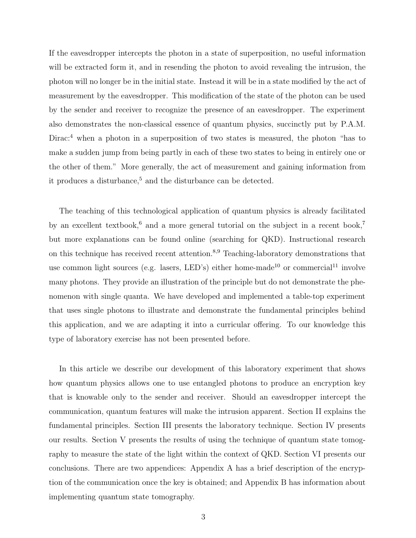If the eavesdropper intercepts the photon in a state of superposition, no useful information will be extracted form it, and in resending the photon to avoid revealing the intrusion, the photon will no longer be in the initial state. Instead it will be in a state modified by the act of measurement by the eavesdropper. This modification of the state of the photon can be used by the sender and receiver to recognize the presence of an eavesdropper. The experiment also demonstrates the non-classical essence of quantum physics, succinctly put by P.A.M. Dirac:<sup>4</sup> when a photon in a superposition of two states is measured, the photon "has to make a sudden jump from being partly in each of these two states to being in entirely one or the other of them." More generally, the act of measurement and gaining information from it produces a disturbance,<sup>5</sup> and the disturbance can be detected.

The teaching of this technological application of quantum physics is already facilitated by an excellent textbook,<sup>6</sup> and a more general tutorial on the subject in a recent book,<sup>7</sup> but more explanations can be found online (searching for QKD). Instructional research on this technique has received recent attention.<sup>8,9</sup> Teaching-laboratory demonstrations that use common light sources (e.g. lasers, LED's) either home-made<sup>10</sup> or commercial<sup>11</sup> involve many photons. They provide an illustration of the principle but do not demonstrate the phenomenon with single quanta. We have developed and implemented a table-top experiment that uses single photons to illustrate and demonstrate the fundamental principles behind this application, and we are adapting it into a curricular offering. To our knowledge this type of laboratory exercise has not been presented before.

In this article we describe our development of this laboratory experiment that shows how quantum physics allows one to use entangled photons to produce an encryption key that is knowable only to the sender and receiver. Should an eavesdropper intercept the communication, quantum features will make the intrusion apparent. Section II explains the fundamental principles. Section III presents the laboratory technique. Section IV presents our results. Section V presents the results of using the technique of quantum state tomography to measure the state of the light within the context of QKD. Section VI presents our conclusions. There are two appendices: Appendix A has a brief description of the encryption of the communication once the key is obtained; and Appendix B has information about implementing quantum state tomography.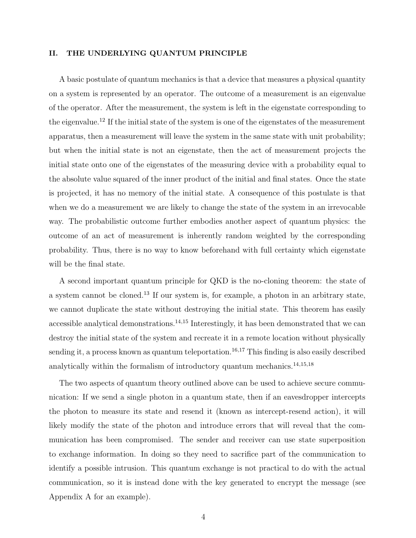#### II. THE UNDERLYING QUANTUM PRINCIPLE

A basic postulate of quantum mechanics is that a device that measures a physical quantity on a system is represented by an operator. The outcome of a measurement is an eigenvalue of the operator. After the measurement, the system is left in the eigenstate corresponding to the eigenvalue.<sup>12</sup> If the initial state of the system is one of the eigenstates of the measurement apparatus, then a measurement will leave the system in the same state with unit probability; but when the initial state is not an eigenstate, then the act of measurement projects the initial state onto one of the eigenstates of the measuring device with a probability equal to the absolute value squared of the inner product of the initial and final states. Once the state is projected, it has no memory of the initial state. A consequence of this postulate is that when we do a measurement we are likely to change the state of the system in an irrevocable way. The probabilistic outcome further embodies another aspect of quantum physics: the outcome of an act of measurement is inherently random weighted by the corresponding probability. Thus, there is no way to know beforehand with full certainty which eigenstate will be the final state.

A second important quantum principle for QKD is the no-cloning theorem: the state of a system cannot be cloned.<sup>13</sup> If our system is, for example, a photon in an arbitrary state, we cannot duplicate the state without destroying the initial state. This theorem has easily accessible analytical demonstrations.<sup>14,15</sup> Interestingly, it has been demonstrated that we can destroy the initial state of the system and recreate it in a remote location without physically sending it, a process known as quantum teleportation.<sup>16,17</sup> This finding is also easily described analytically within the formalism of introductory quantum mechanics. $^{14,15,18}$ 

The two aspects of quantum theory outlined above can be used to achieve secure communication: If we send a single photon in a quantum state, then if an eavesdropper intercepts the photon to measure its state and resend it (known as intercept-resend action), it will likely modify the state of the photon and introduce errors that will reveal that the communication has been compromised. The sender and receiver can use state superposition to exchange information. In doing so they need to sacrifice part of the communication to identify a possible intrusion. This quantum exchange is not practical to do with the actual communication, so it is instead done with the key generated to encrypt the message (see Appendix A for an example).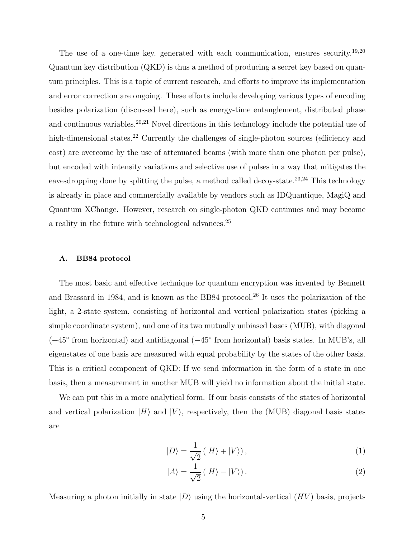The use of a one-time key, generated with each communication, ensures security.<sup>19,20</sup> Quantum key distribution (QKD) is thus a method of producing a secret key based on quantum principles. This is a topic of current research, and efforts to improve its implementation and error correction are ongoing. These efforts include developing various types of encoding besides polarization (discussed here), such as energy-time entanglement, distributed phase and continuous variables.<sup>20,21</sup> Novel directions in this technology include the potential use of high-dimensional states.<sup>22</sup> Currently the challenges of single-photon sources (efficiency and cost) are overcome by the use of attenuated beams (with more than one photon per pulse), but encoded with intensity variations and selective use of pulses in a way that mitigates the eavesdropping done by splitting the pulse, a method called decoy-state.<sup>23,24</sup> This technology is already in place and commercially available by vendors such as IDQuantique, MagiQ and Quantum XChange. However, research on single-photon QKD continues and may become a reality in the future with technological advances.<sup>25</sup>

### A. BB84 protocol

The most basic and effective technique for quantum encryption was invented by Bennett and Brassard in 1984, and is known as the BB84 protocol.<sup>26</sup> It uses the polarization of the light, a 2-state system, consisting of horizontal and vertical polarization states (picking a simple coordinate system), and one of its two mutually unbiased bases (MUB), with diagonal (+45◦ from horizontal) and antidiagonal (−45◦ from horizontal) basis states. In MUB's, all eigenstates of one basis are measured with equal probability by the states of the other basis. This is a critical component of QKD: If we send information in the form of a state in one basis, then a measurement in another MUB will yield no information about the initial state.

We can put this in a more analytical form. If our basis consists of the states of horizontal and vertical polarization  $|H\rangle$  and  $|V\rangle$ , respectively, then the (MUB) diagonal basis states are

$$
|D\rangle = \frac{1}{\sqrt{2}} (|H\rangle + |V\rangle), \qquad (1)
$$

$$
|A\rangle = \frac{1}{\sqrt{2}} (|H\rangle - |V\rangle). \tag{2}
$$

Measuring a photon initially in state  $|D\rangle$  using the horizontal-vertical  $(HV)$  basis, projects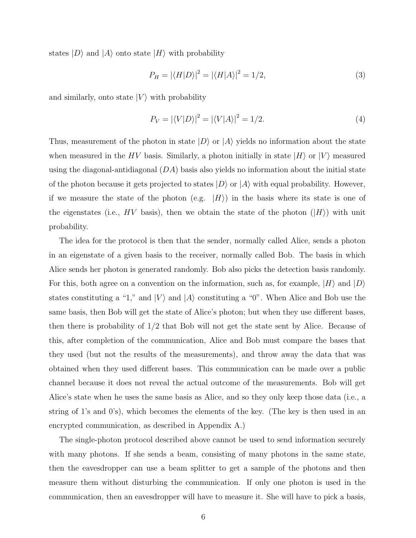states  $|D\rangle$  and  $|A\rangle$  onto state  $|H\rangle$  with probability

$$
P_H = |\langle H|D\rangle|^2 = |\langle H|A\rangle|^2 = 1/2,\tag{3}
$$

and similarly, onto state  $|V\rangle$  with probability

$$
P_V = |\langle V|D \rangle|^2 = |\langle V|A \rangle|^2 = 1/2. \tag{4}
$$

Thus, measurement of the photon in state  $|D\rangle$  or  $|A\rangle$  yields no information about the state when measured in the HV basis. Similarly, a photon initially in state  $|H\rangle$  or  $|V\rangle$  measured using the diagonal-antidiagonal  $(DA)$  basis also yields no information about the initial state of the photon because it gets projected to states  $|D\rangle$  or  $|A\rangle$  with equal probability. However, if we measure the state of the photon (e.g.  $|H\rangle$ ) in the basis where its state is one of the eigenstates (i.e., HV basis), then we obtain the state of the photon  $(|H\rangle)$  with unit probability.

The idea for the protocol is then that the sender, normally called Alice, sends a photon in an eigenstate of a given basis to the receiver, normally called Bob. The basis in which Alice sends her photon is generated randomly. Bob also picks the detection basis randomly. For this, both agree on a convention on the information, such as, for example,  $|H\rangle$  and  $|D\rangle$ states constituting a "1," and  $|V\rangle$  and  $|A\rangle$  constituting a "0". When Alice and Bob use the same basis, then Bob will get the state of Alice's photon; but when they use different bases, then there is probability of 1/2 that Bob will not get the state sent by Alice. Because of this, after completion of the communication, Alice and Bob must compare the bases that they used (but not the results of the measurements), and throw away the data that was obtained when they used different bases. This communication can be made over a public channel because it does not reveal the actual outcome of the measurements. Bob will get Alice's state when he uses the same basis as Alice, and so they only keep those data (i.e., a string of 1's and 0's), which becomes the elements of the key. (The key is then used in an encrypted communication, as described in Appendix A.)

The single-photon protocol described above cannot be used to send information securely with many photons. If she sends a beam, consisting of many photons in the same state, then the eavesdropper can use a beam splitter to get a sample of the photons and then measure them without disturbing the communication. If only one photon is used in the communication, then an eavesdropper will have to measure it. She will have to pick a basis,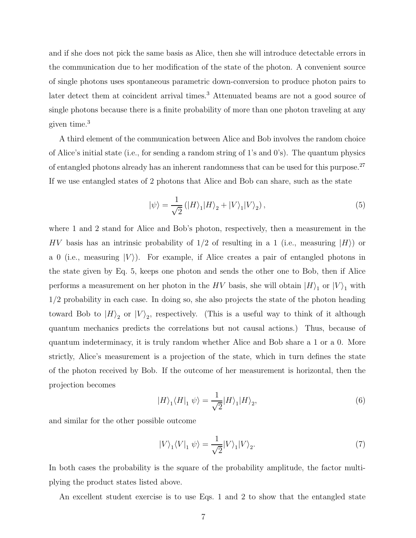and if she does not pick the same basis as Alice, then she will introduce detectable errors in the communication due to her modification of the state of the photon. A convenient source of single photons uses spontaneous parametric down-conversion to produce photon pairs to later detect them at coincident arrival times.<sup>3</sup> Attenuated beams are not a good source of single photons because there is a finite probability of more than one photon traveling at any given time.<sup>3</sup>

A third element of the communication between Alice and Bob involves the random choice of Alice's initial state (i.e., for sending a random string of 1's and 0's). The quantum physics of entangled photons already has an inherent randomness that can be used for this purpose.<sup>27</sup> If we use entangled states of 2 photons that Alice and Bob can share, such as the state

$$
|\psi\rangle = \frac{1}{\sqrt{2}} (|H\rangle_1 |H\rangle_2 + |V\rangle_1 |V\rangle_2), \qquad (5)
$$

where 1 and 2 stand for Alice and Bob's photon, respectively, then a measurement in the HV basis has an intrinsic probability of  $1/2$  of resulting in a 1 (i.e., measuring  $|H\rangle$ ) or a 0 (i.e., measuring  $|V\rangle$ ). For example, if Alice creates a pair of entangled photons in the state given by Eq. 5, keeps one photon and sends the other one to Bob, then if Alice performs a measurement on her photon in the  $HV$  basis, she will obtain  $|H\rangle_1$  or  $|V\rangle_1$  with 1/2 probability in each case. In doing so, she also projects the state of the photon heading toward Bob to  $|H\rangle_2$  or  $|V\rangle_2$ , respectively. (This is a useful way to think of it although quantum mechanics predicts the correlations but not causal actions.) Thus, because of quantum indeterminacy, it is truly random whether Alice and Bob share a 1 or a 0. More strictly, Alice's measurement is a projection of the state, which in turn defines the state of the photon received by Bob. If the outcome of her measurement is horizontal, then the projection becomes

$$
|H\rangle_1 \langle H|_1 \psi \rangle = \frac{1}{\sqrt{2}} |H\rangle_1 |H\rangle_2,\tag{6}
$$

and similar for the other possible outcome

$$
|V\rangle_1\langle V|_1 \psi\rangle = \frac{1}{\sqrt{2}} |V\rangle_1 |V\rangle_2.
$$
 (7)

In both cases the probability is the square of the probability amplitude, the factor multiplying the product states listed above.

An excellent student exercise is to use Eqs. 1 and 2 to show that the entangled state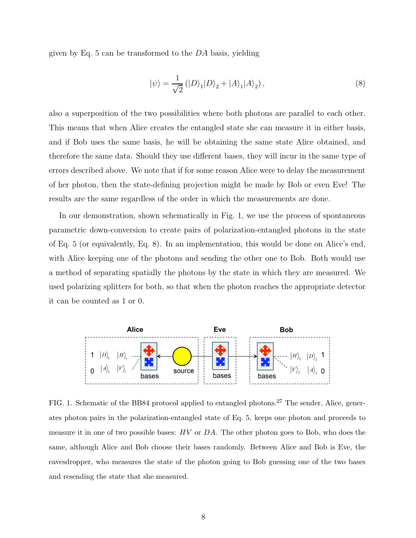given by Eq.  $5$  can be transformed to the  $DA$  basis, yielding

$$
|\psi\rangle = \frac{1}{\sqrt{2}} (|D\rangle_1 |D\rangle_2 + |A\rangle_1 |A\rangle_2),
$$
\n(8)

also a superposition of the two possibilities where both photons are parallel to each other. This means that when Alice creates the entangled state she can measure it in either basis, and if Bob uses the same basis, he will be obtaining the same state Alice obtained, and therefore the same data. Should they use different bases, they will incur in the same type of errors described above. We note that if for some reason Alice were to delay the measurement of her photon, then the state-defining projection might be made by Bob or even Eve! The results are the same regardless of the order in which the measurements are done.

In our demonstration, shown schematically in Fig. 1, we use the process of spontaneous parametric down-conversion to create pairs of polarization-entangled photons in the state of Eq. 5 (or equivalently, Eq. 8). In an implementation, this would be done on Alice's end, with Alice keeping one of the photons and sending the other one to Bob. Both would use a method of separating spatially the photons by the state in which they are measured. We used polarizing splitters for both, so that when the photon reaches the appropriate detector it can be counted as 1 or 0.



FIG. 1. Schematic of the BB84 protocol applied to entangled photons.<sup>27</sup> The sender, Alice, generates photon pairs in the polarization-entangled state of Eq. 5, keeps one photon and proceeds to measure it in one of two possible bases: HV or DA. The other photon goes to Bob, who does the same, although Alice and Bob choose their bases randomly. Between Alice and Bob is Eve, the eavesdropper, who measures the state of the photon going to Bob guessing one of the two bases and resending the state that she measured.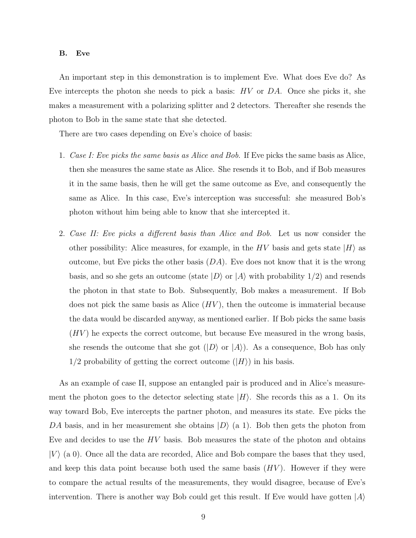#### B. Eve

An important step in this demonstration is to implement Eve. What does Eve do? As Eve intercepts the photon she needs to pick a basis:  $HV$  or  $DA$ . Once she picks it, she makes a measurement with a polarizing splitter and 2 detectors. Thereafter she resends the photon to Bob in the same state that she detected.

There are two cases depending on Eve's choice of basis:

- 1. Case I: Eve picks the same basis as Alice and Bob. If Eve picks the same basis as Alice, then she measures the same state as Alice. She resends it to Bob, and if Bob measures it in the same basis, then he will get the same outcome as Eve, and consequently the same as Alice. In this case, Eve's interception was successful: she measured Bob's photon without him being able to know that she intercepted it.
- 2. Case II: Eve picks a different basis than Alice and Bob. Let us now consider the other possibility: Alice measures, for example, in the HV basis and gets state  $|H\rangle$  as outcome, but Eve picks the other basis  $(DA)$ . Eve does not know that it is the wrong basis, and so she gets an outcome (state  $|D\rangle$  or  $|A\rangle$  with probability  $1/2$ ) and resends the photon in that state to Bob. Subsequently, Bob makes a measurement. If Bob does not pick the same basis as Alice  $(HV)$ , then the outcome is immaterial because the data would be discarded anyway, as mentioned earlier. If Bob picks the same basis  $(HV)$  he expects the correct outcome, but because Eve measured in the wrong basis, she resends the outcome that she got  $(|D\rangle$  or  $|A\rangle$ ). As a consequence, Bob has only  $1/2$  probability of getting the correct outcome  $(|H\rangle)$  in his basis.

As an example of case II, suppose an entangled pair is produced and in Alice's measurement the photon goes to the detector selecting state  $|H\rangle$ . She records this as a 1. On its way toward Bob, Eve intercepts the partner photon, and measures its state. Eve picks the DA basis, and in her measurement she obtains  $|D\rangle$  (a 1). Bob then gets the photon from Eve and decides to use the  $HV$  basis. Bob measures the state of the photon and obtains  $|V\rangle$  (a 0). Once all the data are recorded, Alice and Bob compare the bases that they used, and keep this data point because both used the same basis  $(HV)$ . However if they were to compare the actual results of the measurements, they would disagree, because of Eve's intervention. There is another way Bob could get this result. If Eve would have gotten  $|A\rangle$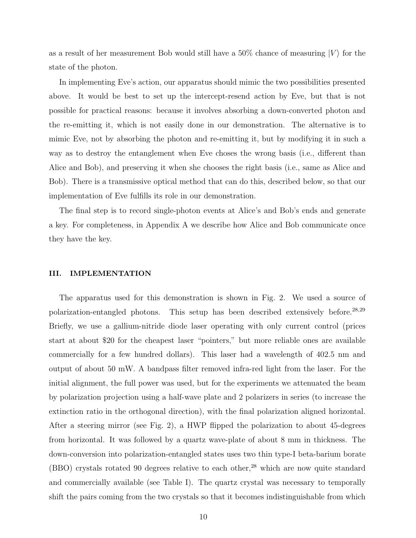as a result of her measurement Bob would still have a 50% chance of measuring  $|V\rangle$  for the state of the photon.

In implementing Eve's action, our apparatus should mimic the two possibilities presented above. It would be best to set up the intercept-resend action by Eve, but that is not possible for practical reasons: because it involves absorbing a down-converted photon and the re-emitting it, which is not easily done in our demonstration. The alternative is to mimic Eve, not by absorbing the photon and re-emitting it, but by modifying it in such a way as to destroy the entanglement when Eve choses the wrong basis (i.e., different than Alice and Bob), and preserving it when she chooses the right basis (i.e., same as Alice and Bob). There is a transmissive optical method that can do this, described below, so that our implementation of Eve fulfills its role in our demonstration.

The final step is to record single-photon events at Alice's and Bob's ends and generate a key. For completeness, in Appendix A we describe how Alice and Bob communicate once they have the key.

#### III. IMPLEMENTATION

The apparatus used for this demonstration is shown in Fig. 2. We used a source of polarization-entangled photons. This setup has been described extensively before.<sup>28,29</sup> Briefly, we use a gallium-nitride diode laser operating with only current control (prices start at about \$20 for the cheapest laser "pointers," but more reliable ones are available commercially for a few hundred dollars). This laser had a wavelength of 402.5 nm and output of about 50 mW. A bandpass filter removed infra-red light from the laser. For the initial alignment, the full power was used, but for the experiments we attenuated the beam by polarization projection using a half-wave plate and 2 polarizers in series (to increase the extinction ratio in the orthogonal direction), with the final polarization aligned horizontal. After a steering mirror (see Fig. 2), a HWP flipped the polarization to about 45-degrees from horizontal. It was followed by a quartz wave-plate of about 8 mm in thickness. The down-conversion into polarization-entangled states uses two thin type-I beta-barium borate (BBO) crystals rotated 90 degrees relative to each other,<sup>28</sup> which are now quite standard and commercially available (see Table I). The quartz crystal was necessary to temporally shift the pairs coming from the two crystals so that it becomes indistinguishable from which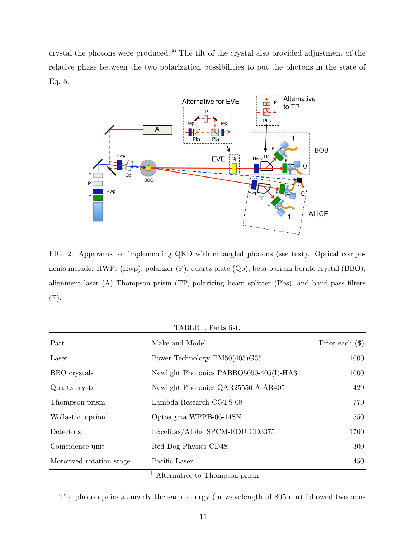crystal the photons were produced.<sup>30</sup> The tilt of the crystal also provided adjustment of the relative phase between the two polarization possibilities to put the photons in the state of Eq. 5.



FIG. 2. Apparatus for implementing QKD with entangled photons (see text). Optical components include: HWPs (Hwp), polarizer (P), quartz plate (Qp), beta-barium borate crystal (BBO), alignment laser (A) Thompson prism (TP, polarizing beam splitter (Pbs), and band-pass filters (F).

TABLE I. Parts list.

| Part                          | Make and Model                          | Price each $(\$)$ |
|-------------------------------|-----------------------------------------|-------------------|
| Laser                         | Power Technology PM50(405)G35           | 1000              |
| BBO crystals                  | Newlight Photonics PABBO5050-405(I)-HA3 | 1000              |
| Quartz crystal                | Newlight Photonics QAR25550-A-AR405     | 429               |
| Thompson prism                | Lambda Research CGTS-08                 | 770               |
| Wollaston option <sup>1</sup> | Optosigma WPPB-06-14SN                  | 550               |
| Detectors                     | Excelitas/Alpha SPCM-EDU CD3375         | 1700              |
| Coincidence unit              | Red Dog Physics CD48                    | 300               |
| Motorized rotation stage      | Pacific Laser                           | 450               |

<sup>1</sup> Alternative to Thompson prism.

The photon pairs at nearly the same energy (or wavelength of 805 nm) followed two non-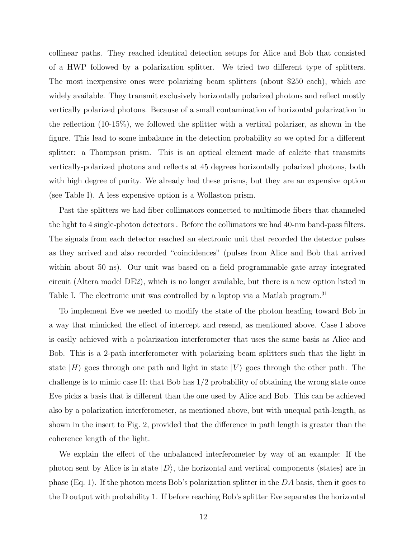collinear paths. They reached identical detection setups for Alice and Bob that consisted of a HWP followed by a polarization splitter. We tried two different type of splitters. The most inexpensive ones were polarizing beam splitters (about \$250 each), which are widely available. They transmit exclusively horizontally polarized photons and reflect mostly vertically polarized photons. Because of a small contamination of horizontal polarization in the reflection (10-15%), we followed the splitter with a vertical polarizer, as shown in the figure. This lead to some imbalance in the detection probability so we opted for a different splitter: a Thompson prism. This is an optical element made of calcite that transmits vertically-polarized photons and reflects at 45 degrees horizontally polarized photons, both with high degree of purity. We already had these prisms, but they are an expensive option (see Table I). A less expensive option is a Wollaston prism.

Past the splitters we had fiber collimators connected to multimode fibers that channeled the light to 4 single-photon detectors . Before the collimators we had 40-nm band-pass filters. The signals from each detector reached an electronic unit that recorded the detector pulses as they arrived and also recorded "coincidences" (pulses from Alice and Bob that arrived within about 50 ns). Our unit was based on a field programmable gate array integrated circuit (Altera model DE2), which is no longer available, but there is a new option listed in Table I. The electronic unit was controlled by a laptop via a Matlab program.<sup>31</sup>

To implement Eve we needed to modify the state of the photon heading toward Bob in a way that mimicked the effect of intercept and resend, as mentioned above. Case I above is easily achieved with a polarization interferometer that uses the same basis as Alice and Bob. This is a 2-path interferometer with polarizing beam splitters such that the light in state  $|H\rangle$  goes through one path and light in state  $|V\rangle$  goes through the other path. The challenge is to mimic case II: that Bob has  $1/2$  probability of obtaining the wrong state once Eve picks a basis that is different than the one used by Alice and Bob. This can be achieved also by a polarization interferometer, as mentioned above, but with unequal path-length, as shown in the insert to Fig. 2, provided that the difference in path length is greater than the coherence length of the light.

We explain the effect of the unbalanced interferometer by way of an example: If the photon sent by Alice is in state  $|D\rangle$ , the horizontal and vertical components (states) are in phase (Eq. 1). If the photon meets Bob's polarization splitter in the  $DA$  basis, then it goes to the D output with probability 1. If before reaching Bob's splitter Eve separates the horizontal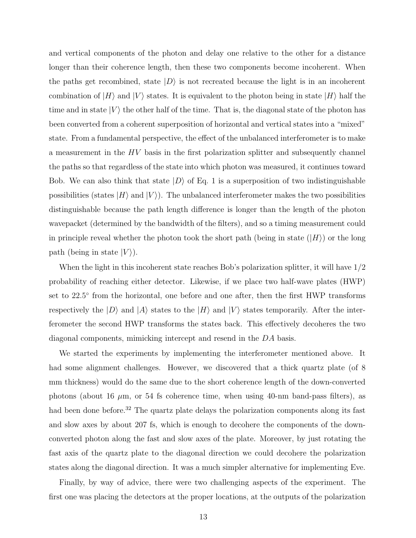and vertical components of the photon and delay one relative to the other for a distance longer than their coherence length, then these two components become incoherent. When the paths get recombined, state  $|D\rangle$  is not recreated because the light is in an incoherent combination of  $|H\rangle$  and  $|V\rangle$  states. It is equivalent to the photon being in state  $|H\rangle$  half the time and in state  $|V\rangle$  the other half of the time. That is, the diagonal state of the photon has been converted from a coherent superposition of horizontal and vertical states into a "mixed" state. From a fundamental perspective, the effect of the unbalanced interferometer is to make a measurement in the HV basis in the first polarization splitter and subsequently channel the paths so that regardless of the state into which photon was measured, it continues toward Bob. We can also think that state  $|D\rangle$  of Eq. 1 is a superposition of two indistinguishable possibilities (states  $|H\rangle$  and  $|V\rangle$ ). The unbalanced interferometer makes the two possibilities distinguishable because the path length difference is longer than the length of the photon wavepacket (determined by the bandwidth of the filters), and so a timing measurement could in principle reveal whether the photon took the short path (being in state  $(|H\rangle)$ ) or the long path (being in state  $|V\rangle$ ).

When the light in this incoherent state reaches Bob's polarization splitter, it will have  $1/2$ probability of reaching either detector. Likewise, if we place two half-wave plates (HWP) set to 22.5<sup>°</sup> from the horizontal, one before and one after, then the first HWP transforms respectively the  $|D\rangle$  and  $|A\rangle$  states to the  $|H\rangle$  and  $|V\rangle$  states temporarily. After the interferometer the second HWP transforms the states back. This effectively decoheres the two diagonal components, mimicking intercept and resend in the DA basis.

We started the experiments by implementing the interferometer mentioned above. It had some alignment challenges. However, we discovered that a thick quartz plate (of 8) mm thickness) would do the same due to the short coherence length of the down-converted photons (about 16  $\mu$ m, or 54 fs coherence time, when using 40-nm band-pass filters), as had been done before.<sup>32</sup> The quartz plate delays the polarization components along its fast and slow axes by about 207 fs, which is enough to decohere the components of the downconverted photon along the fast and slow axes of the plate. Moreover, by just rotating the fast axis of the quartz plate to the diagonal direction we could decohere the polarization states along the diagonal direction. It was a much simpler alternative for implementing Eve.

Finally, by way of advice, there were two challenging aspects of the experiment. The first one was placing the detectors at the proper locations, at the outputs of the polarization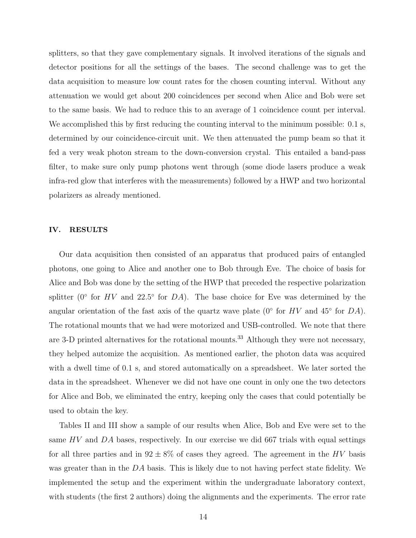splitters, so that they gave complementary signals. It involved iterations of the signals and detector positions for all the settings of the bases. The second challenge was to get the data acquisition to measure low count rates for the chosen counting interval. Without any attenuation we would get about 200 coincidences per second when Alice and Bob were set to the same basis. We had to reduce this to an average of 1 coincidence count per interval. We accomplished this by first reducing the counting interval to the minimum possible: 0.1 s, determined by our coincidence-circuit unit. We then attenuated the pump beam so that it fed a very weak photon stream to the down-conversion crystal. This entailed a band-pass filter, to make sure only pump photons went through (some diode lasers produce a weak infra-red glow that interferes with the measurements) followed by a HWP and two horizontal polarizers as already mentioned.

#### IV. RESULTS

Our data acquisition then consisted of an apparatus that produced pairs of entangled photons, one going to Alice and another one to Bob through Eve. The choice of basis for Alice and Bob was done by the setting of the HWP that preceded the respective polarization splitter ( $0°$  for  $HV$  and  $22.5°$  for  $DA$ ). The base choice for Eve was determined by the angular orientation of the fast axis of the quartz wave plate ( $0°$  for  $HV$  and  $45°$  for  $DA$ ). The rotational mounts that we had were motorized and USB-controlled. We note that there are 3-D printed alternatives for the rotational mounts.<sup>33</sup> Although they were not necessary, they helped automize the acquisition. As mentioned earlier, the photon data was acquired with a dwell time of 0.1 s, and stored automatically on a spreadsheet. We later sorted the data in the spreadsheet. Whenever we did not have one count in only one the two detectors for Alice and Bob, we eliminated the entry, keeping only the cases that could potentially be used to obtain the key.

Tables II and III show a sample of our results when Alice, Bob and Eve were set to the same  $HV$  and  $DA$  bases, respectively. In our exercise we did 667 trials with equal settings for all three parties and in  $92 \pm 8\%$  of cases they agreed. The agreement in the HV basis was greater than in the DA basis. This is likely due to not having perfect state fidelity. We implemented the setup and the experiment within the undergraduate laboratory context, with students (the first 2 authors) doing the alignments and the experiments. The error rate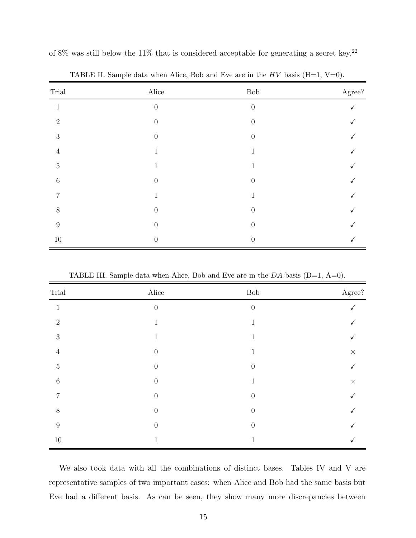| Trial            | $\rm \, Alice$   | ${\rm Bob}$      | Agree? |
|------------------|------------------|------------------|--------|
| 1                | $\boldsymbol{0}$ | $\boldsymbol{0}$ |        |
| $\overline{2}$   | $\theta$         | $\theta$         |        |
| $\sqrt{3}$       | $\theta$         | $\overline{0}$   |        |
| $\overline{4}$   | $\mathbf 1$      | 1                |        |
| $\bf 5$          | 1                | 1                |        |
| $\,6\,$          | $\boldsymbol{0}$ | $\theta$         |        |
| 7                | $\mathbf 1$      | 1                |        |
| 8                | $\theta$         | $\theta$         |        |
| $\boldsymbol{9}$ | $\boldsymbol{0}$ | $\theta$         |        |
| $10\,$           | $\theta$         | $\theta$         |        |

of 8% was still below the 11% that is considered acceptable for generating a secret key.<sup>22</sup>

TABLE II. Sample data when Alice, Bob and Eve are in the  $HV$  basis (H=1, V=0).

TABLE III. Sample data when Alice, Bob and Eve are in the  $DA$  basis (D=1, A=0).

| Trial            | Alice            | ${\rm Bob}$      | Agree?   |
|------------------|------------------|------------------|----------|
| $\mathbf{I}$     | $\overline{0}$   | $\boldsymbol{0}$ |          |
| $\overline{2}$   | 1                |                  |          |
| 3                | 1                | $\mathbf{I}$     |          |
| $\overline{4}$   | $\overline{0}$   |                  | $\times$ |
| $\overline{5}$   | $\theta$         | $\overline{0}$   |          |
| $\,6\,$          | $\boldsymbol{0}$ |                  | $\times$ |
| 7                | $\theta$         | $\overline{0}$   |          |
| $8\,$            | $\theta$         | $\boldsymbol{0}$ |          |
| $\boldsymbol{9}$ | $\theta$         | $\overline{0}$   |          |
| $10\,$           | 1                | ⊥                |          |

We also took data with all the combinations of distinct bases. Tables IV and V are representative samples of two important cases: when Alice and Bob had the same basis but Eve had a different basis. As can be seen, they show many more discrepancies between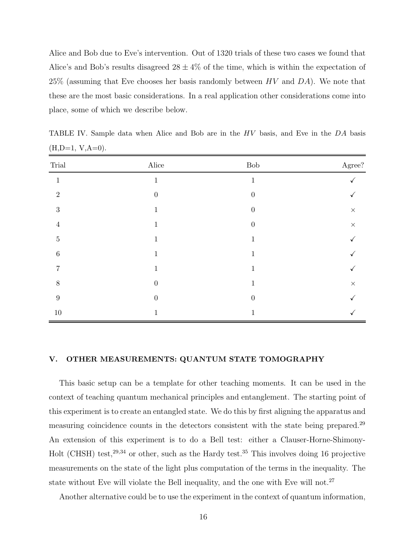Alice and Bob due to Eve's intervention. Out of 1320 trials of these two cases we found that Alice's and Bob's results disagreed  $28 \pm 4\%$  of the time, which is within the expectation of 25% (assuming that Eve chooses her basis randomly between  $HV$  and  $DA$ ). We note that these are the most basic considerations. In a real application other considerations come into place, some of which we describe below.

| Trial            | Alice            | ${\rm Bob}$      | $\rm{Agree?}$ |
|------------------|------------------|------------------|---------------|
| $\mathbf{1}$     | $\mathbf 1$      | $\mathbf{1}$     |               |
| $\overline{2}$   | $\theta$         | $\boldsymbol{0}$ |               |
| $\sqrt{3}$       | $\mathbf 1$      | $\boldsymbol{0}$ | $\times$      |
| $\overline{4}$   | $\mathbf{1}$     | $\overline{0}$   | $\times$      |
| $\bf 5$          | $\mathbf 1$      | 1                |               |
| $\boldsymbol{6}$ | $\mathbf 1$      | T                |               |
|                  | 1                | 1                |               |
| 8                | $\boldsymbol{0}$ |                  | $\times$      |
| 9                | $\theta$         | $\overline{0}$   |               |
| $10\,$           | 1                | 1                |               |

TABLE IV. Sample data when Alice and Bob are in the HV basis, and Eve in the DA basis  $(H,D=1, V,A=0).$ 

## V. OTHER MEASUREMENTS: QUANTUM STATE TOMOGRAPHY

This basic setup can be a template for other teaching moments. It can be used in the context of teaching quantum mechanical principles and entanglement. The starting point of this experiment is to create an entangled state. We do this by first aligning the apparatus and measuring coincidence counts in the detectors consistent with the state being prepared.<sup>29</sup> An extension of this experiment is to do a Bell test: either a Clauser-Horne-Shimony-Holt (CHSH) test,<sup>29,34</sup> or other, such as the Hardy test.<sup>35</sup> This involves doing 16 projective measurements on the state of the light plus computation of the terms in the inequality. The state without Eve will violate the Bell inequality, and the one with Eve will not.<sup>27</sup>

Another alternative could be to use the experiment in the context of quantum information,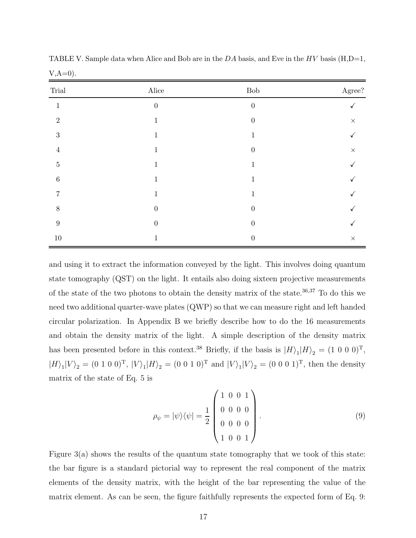| Trial            | Alice            | ${\rm Bob}$      | $\rm{Agree?}$ |
|------------------|------------------|------------------|---------------|
| $\mathbf 1$      | $\boldsymbol{0}$ | $\boldsymbol{0}$ |               |
| $\overline{2}$   | $\mathbf 1$      | $\boldsymbol{0}$ | $\times$      |
| 3                | $\mathbf{1}$     | 1                |               |
| $\overline{4}$   | $\mathbf{1}$     | $\boldsymbol{0}$ | $\times$      |
| $\bf 5$          | 1                | 1                |               |
| $\,6\,$          | 1<br>T           | 1                |               |
| 7                | 1                | 1                |               |
| $8\,$            | $\boldsymbol{0}$ | $\boldsymbol{0}$ |               |
| $\boldsymbol{9}$ | $\theta$         | $\theta$         |               |
| $10\,$           | 1                | $\boldsymbol{0}$ | $\times$      |

TABLE V. Sample data when Alice and Bob are in the DA basis, and Eve in the HV basis  $(H, D=1,$  $V, A=0$ ).

and using it to extract the information conveyed by the light. This involves doing quantum state tomography (QST) on the light. It entails also doing sixteen projective measurements of the state of the two photons to obtain the density matrix of the state.36,37 To do this we need two additional quarter-wave plates (QWP) so that we can measure right and left handed circular polarization. In Appendix B we briefly describe how to do the 16 measurements and obtain the density matrix of the light. A simple description of the density matrix has been presented before in this context.<sup>38</sup> Briefly, if the basis is  $|H\rangle_1|H\rangle_2 = (1\ 0\ 0\ 0)^T$ ,  $|H\rangle_1|V\rangle_2 = (0 \ 1 \ 0 \ 0)^T$ ,  $|V\rangle_1|H\rangle_2 = (0 \ 0 \ 1 \ 0)^T$  and  $|V\rangle_1|V\rangle_2 = (0 \ 0 \ 0 \ 1)^T$ , then the density matrix of the state of Eq. 5 is

$$
\rho_{\psi} = |\psi\rangle\langle\psi| = \frac{1}{2} \begin{pmatrix} 1 & 0 & 0 & 1 \\ 0 & 0 & 0 & 0 \\ 0 & 0 & 0 & 0 \\ 1 & 0 & 0 & 1 \end{pmatrix} . \tag{9}
$$

Figure  $3(a)$  shows the results of the quantum state tomography that we took of this state: the bar figure is a standard pictorial way to represent the real component of the matrix elements of the density matrix, with the height of the bar representing the value of the matrix element. As can be seen, the figure faithfully represents the expected form of Eq. 9: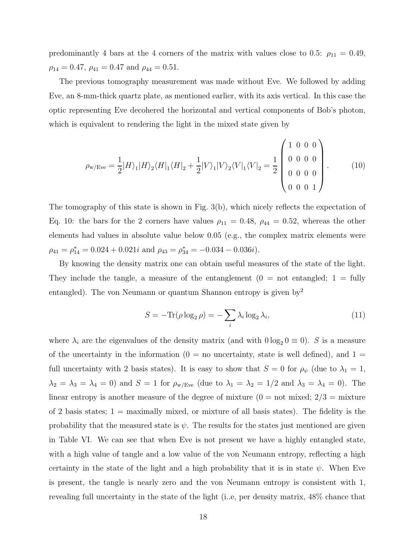predominantly 4 bars at the 4 corners of the matrix with values close to 0.5:  $\rho_{11} = 0.49$ ,  $\rho_{14} = 0.47$ ,  $\rho_{41} = 0.47$  and  $\rho_{44} = 0.51$ .

The previous tomography measurement was made without Eve. We followed by adding Eve, an 8-mm-thick quartz plate, as mentioned earlier, with its axis vertical. In this case the optic representing Eve decohered the horizontal and vertical components of Bob's photon, which is equivalent to rendering the light in the mixed state given by

$$
\rho_{\rm w/Eve} = \frac{1}{2} |H\rangle_1 |H\rangle_2 \langle H|_1 \langle H|_2 + \frac{1}{2} |V\rangle_1 |V\rangle_2 \langle V|_1 \langle V|_2 = \frac{1}{2} \begin{pmatrix} 1 & 0 & 0 & 0 \\ 0 & 0 & 0 & 0 \\ 0 & 0 & 0 & 0 \\ 0 & 0 & 0 & 1 \end{pmatrix} . \tag{10}
$$

The tomography of this state is shown in Fig. 3(b), which nicely reflects the expectation of Eq. 10: the bars for the 2 corners have values  $\rho_{11} = 0.48$ ,  $\rho_{44} = 0.52$ , whereas the other elements had values in absolute value below 0.05 (e.g., the complex matrix elements were  $\rho_{41} = \rho_{14}^* = 0.024 + 0.021i$  and  $\rho_{43} = \rho_{34}^* = -0.034 - 0.036i$ .

By knowing the density matrix one can obtain useful measures of the state of the light. They include the tangle, a measure of the entanglement  $(0 = not entangled; 1 = fully$ entangled). The von Neumann or quantum Shannon entropy is given by  $y^2$ 

$$
S = -\text{Tr}(\rho \log_2 \rho) = -\sum_{i} \lambda_i \log_2 \lambda_i,\tag{11}
$$

where  $\lambda_i$  are the eigenvalues of the density matrix (and with  $0 \log_2 0 \equiv 0$ ). S is a measure of the uncertainty in the information  $(0 = no$  uncertainty, state is well defined), and  $1 =$ full uncertainty with 2 basis states). It is easy to show that  $S = 0$  for  $\rho_{\psi}$  (due to  $\lambda_1 = 1$ ,  $\lambda_2 = \lambda_3 = \lambda_4 = 0$ ) and  $S = 1$  for  $\rho_{\text{w/Eve}}$  (due to  $\lambda_1 = \lambda_2 = 1/2$  and  $\lambda_3 = \lambda_4 = 0$ ). The linear entropy is another measure of the degree of mixture  $(0 = not mixed; 2/3 = mixture)$ of 2 basis states;  $1 =$  maximally mixed, or mixture of all basis states). The fidelity is the probability that the measured state is  $\psi$ . The results for the states just mentioned are given in Table VI. We can see that when Eve is not present we have a highly entangled state, with a high value of tangle and a low value of the von Neumann entropy, reflecting a high certainty in the state of the light and a high probability that it is in state  $\psi$ . When Eve is present, the tangle is nearly zero and the von Neumann entropy is consistent with 1, revealing full uncertainty in the state of the light (i..e, per density matrix, 48% chance that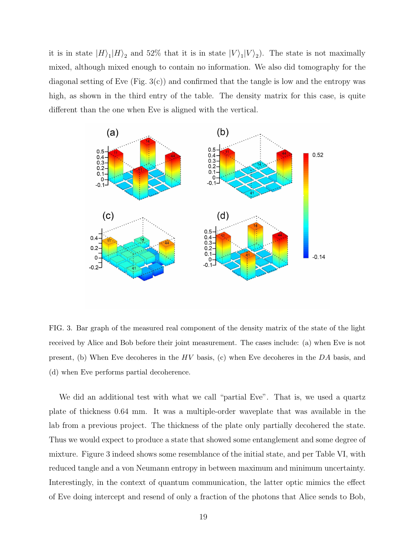it is in state  $|H\rangle_1|H\rangle_2$  and 52% that it is in state  $|V\rangle_1|V\rangle_2$ . The state is not maximally mixed, although mixed enough to contain no information. We also did tomography for the diagonal setting of Eve  $(Fig. 3(c))$  and confirmed that the tangle is low and the entropy was high, as shown in the third entry of the table. The density matrix for this case, is quite different than the one when Eve is aligned with the vertical.



FIG. 3. Bar graph of the measured real component of the density matrix of the state of the light received by Alice and Bob before their joint measurement. The cases include: (a) when Eve is not present, (b) When Eve decoheres in the  $HV$  basis, (c) when Eve decoheres in the  $DA$  basis, and (d) when Eve performs partial decoherence.

We did an additional test with what we call "partial Eve". That is, we used a quartz plate of thickness 0.64 mm. It was a multiple-order waveplate that was available in the lab from a previous project. The thickness of the plate only partially decohered the state. Thus we would expect to produce a state that showed some entanglement and some degree of mixture. Figure 3 indeed shows some resemblance of the initial state, and per Table VI, with reduced tangle and a von Neumann entropy in between maximum and minimum uncertainty. Interestingly, in the context of quantum communication, the latter optic mimics the effect of Eve doing intercept and resend of only a fraction of the photons that Alice sends to Bob,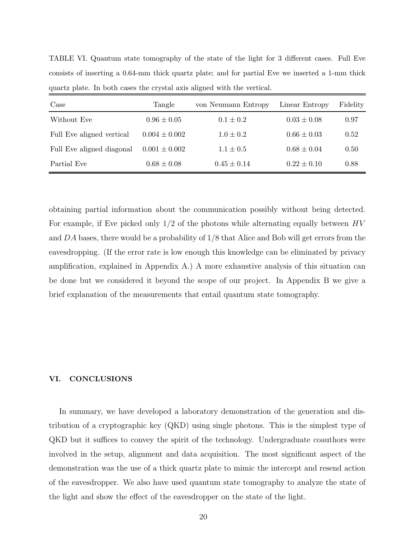| Case                      | Tangle            | von Neumann Entropy | Linear Entropy  | Fidelity |
|---------------------------|-------------------|---------------------|-----------------|----------|
| Without Eve               | $0.96 \pm 0.05$   | $0.1 \pm 0.2$       | $0.03 \pm 0.08$ | 0.97     |
| Full Eve aligned vertical | $0.004 \pm 0.002$ | $1.0 \pm 0.2$       | $0.66 \pm 0.03$ | 0.52     |
| Full Eve aligned diagonal | $0.001 \pm 0.002$ | $1.1 \pm 0.5$       | $0.68 \pm 0.04$ | 0.50     |
| Partial Eve               | $0.68 \pm 0.08$   | $0.45 \pm 0.14$     | $0.22 \pm 0.10$ | 0.88     |

TABLE VI. Quantum state tomography of the state of the light for 3 different cases. Full Eve consists of inserting a 0.64-mm thick quartz plate; and for partial Eve we inserted a 1-mm thick quartz plate. In both cases the crystal axis aligned with the vertical.

obtaining partial information about the communication possibly without being detected. For example, if Eve picked only  $1/2$  of the photons while alternating equally between  $HV$ and DA bases, there would be a probability of 1/8 that Alice and Bob will get errors from the eavesdropping. (If the error rate is low enough this knowledge can be eliminated by privacy amplification, explained in Appendix A.) A more exhaustive analysis of this situation can be done but we considered it beyond the scope of our project. In Appendix B we give a brief explanation of the measurements that entail quantum state tomography.

#### VI. CONCLUSIONS

In summary, we have developed a laboratory demonstration of the generation and distribution of a cryptographic key (QKD) using single photons. This is the simplest type of QKD but it suffices to convey the spirit of the technology. Undergraduate coauthors were involved in the setup, alignment and data acquisition. The most significant aspect of the demonstration was the use of a thick quartz plate to mimic the intercept and resend action of the eavesdropper. We also have used quantum state tomography to analyze the state of the light and show the effect of the eavesdropper on the state of the light.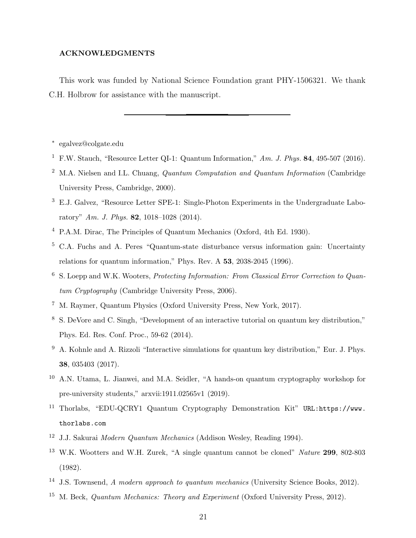#### ACKNOWLEDGMENTS

This work was funded by National Science Foundation grant PHY-1506321. We thank C.H. Holbrow for assistance with the manuscript.

∗ egalvez@colgate.edu

- <sup>1</sup> F.W. Stauch, "Resource Letter QI-1: Quantum Information," *Am. J. Phys.* 84, 495-507 (2016).
- <sup>2</sup> M.A. Nielsen and I.L. Chuang, *Quantum Computation and Quantum Information* (Cambridge University Press, Cambridge, 2000).
- <sup>3</sup> E.J. Galvez, "Resource Letter SPE-1: Single-Photon Experiments in the Undergraduate Laboratory" *Am. J. Phys.* 82, 1018–1028 (2014).
- <sup>4</sup> P.A.M. Dirac, The Principles of Quantum Mechanics (Oxford, 4th Ed. 1930).
- <sup>5</sup> C.A. Fuchs and A. Peres "Quantum-state disturbance versus information gain: Uncertainty relations for quantum information," Phys. Rev. A 53, 2038-2045 (1996).
- <sup>6</sup> S. Loepp and W.K. Wooters, *Protecting Information: From Classical Error Correction to Quantum Cryptography* (Cambridge University Press, 2006).
- <sup>7</sup> M. Raymer, Quantum Physics (Oxford University Press, New York, 2017).
- <sup>8</sup> S. DeVore and C. Singh, "Development of an interactive tutorial on quantum key distribution," Phys. Ed. Res. Conf. Proc., 59-62 (2014).
- <sup>9</sup> A. Kohnle and A. Rizzoli "Interactive simulations for quantum key distribution," Eur. J. Phys. 38, 035403 (2017).
- <sup>10</sup> A.N. Utama, L. Jianwei, and M.A. Seidler, "A hands-on quantum cryptography workshop for pre-university students," arxvii:1911.02565v1 (2019).
- <sup>11</sup> Thorlabs, "EDU-QCRY1 Quantum Cryptography Demonstration Kit" URL:https://www. thorlabs.com
- <sup>12</sup> J.J. Sakurai *Modern Quantum Mechanics* (Addison Wesley, Reading 1994).
- <sup>13</sup> W.K. Wootters and W.H. Zurek, "A single quantum cannot be cloned" *Nature* 299, 802-803 (1982).
- <sup>14</sup> J.S. Townsend, *A modern approach to quantum mechanics* (University Science Books, 2012).
- <sup>15</sup> M. Beck, *Quantum Mechanics: Theory and Experiment* (Oxford University Press, 2012).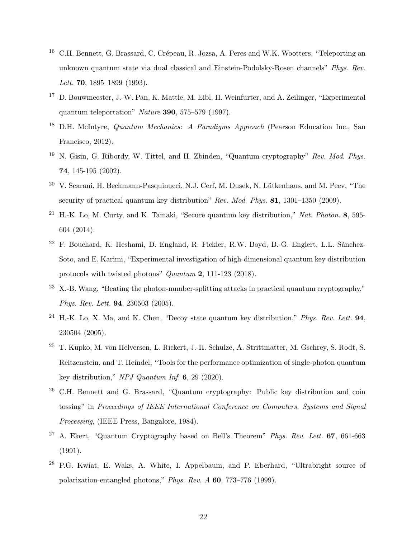- <sup>16</sup> C.H. Bennett, G. Brassard, C. Crépeau, R. Jozsa, A. Peres and W.K. Wootters, "Teleporting an unknown quantum state via dual classical and Einstein-Podolsky-Rosen channels" *Phys. Rev. Lett.* 70, 1895–1899 (1993).
- <sup>17</sup> D. Bouwmeester, J.-W. Pan, K. Mattle, M. Eibl, H. Weinfurter, and A. Zeilinger, "Experimental" quantum teleportation" *Nature* 390, 575–579 (1997).
- <sup>18</sup> D.H. McIntyre, *Quantum Mechanics: A Paradigms Approach* (Pearson Education Inc., San Francisco, 2012).
- <sup>19</sup> N. Gisin, G. Ribordy, W. Tittel, and H. Zbinden, "Quantum cryptography" *Rev. Mod. Phys.* 74, 145-195 (2002).
- $20\,$  V. Scarani, H. Bechmann-Pasquinucci, N.J. Cerf, M. Dusek, N. Lütkenhaus, and M. Peev, "The security of practical quantum key distribution" *Rev. Mod. Phys.* 81, 1301–1350 (2009).
- <sup>21</sup> H.-K. Lo, M. Curty, and K. Tamaki, "Secure quantum key distribution," *Nat. Photon.* 8, 595- 604 (2014).
- $22$  F. Bouchard, K. Heshami, D. England, R. Fickler, R.W. Boyd, B.-G. Englert, L.L. Sánchez-Soto, and E. Karimi, "Experimental investigation of high-dimensional quantum key distribution protocols with twisted photons" *Quantum* 2, 111-123 (2018).
- <sup>23</sup> X.-B. Wang, "Beating the photon-number-splitting attacks in practical quantum cryptography," *Phys. Rev. Lett.* 94, 230503 (2005).
- <sup>24</sup> H.-K. Lo, X. Ma, and K. Chen, "Decoy state quantum key distribution," *Phys. Rev. Lett.* 94, 230504 (2005).
- <sup>25</sup> T. Kupko, M. von Helversen, L. Rickert, J.-H. Schulze, A. Strittmatter, M. Gschrey, S. Rodt, S. Reitzenstein, and T. Heindel, "Tools for the performance optimization of single-photon quantum key distribution," *NPJ Quantum Inf.* 6, 29 (2020).
- <sup>26</sup> C.H. Bennett and G. Brassard, "Quantum cryptography: Public key distribution and coin tossing" in *Proceedings of IEEE International Conference on Computers, Systems and Signal Processing*, (IEEE Press, Bangalore, 1984).
- <sup>27</sup> A. Ekert, "Quantum Cryptography based on Bell's Theorem" *Phys. Rev. Lett.* 67, 661-663 (1991).
- <sup>28</sup> P.G. Kwiat, E. Waks, A. White, I. Appelbaum, and P. Eberhard, "Ultrabright source of polarization-entangled photons," *Phys. Rev. A* 60, 773–776 (1999).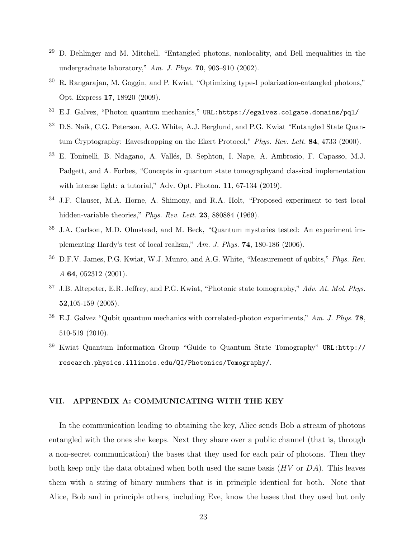- $29$  D. Dehlinger and M. Mitchell, "Entangled photons, nonlocality, and Bell inequalities in the undergraduate laboratory," *Am. J. Phys.* 70, 903–910 (2002).
- <sup>30</sup> R. Rangarajan, M. Goggin, and P. Kwiat, "Optimizing type-I polarization-entangled photons," Opt. Express 17, 18920 (2009).
- $31$  E.J. Galvez, "Photon quantum mechanics," URL:https://egalvez.colgate.domains/pql/
- <sup>32</sup> D.S. Naik, C.G. Peterson, A.G. White, A.J. Berglund, and P.G. Kwiat "Entangled State Quantum Cryptography: Eavesdropping on the Ekert Protocol," *Phys. Rev. Lett.* 84, 4733 (2000).
- E. Toninelli, B. Ndagano, A. Vallés, B. Sephton, I. Nape, A. Ambrosio, F. Capasso, M.J. Padgett, and A. Forbes, "Concepts in quantum state tomographyand classical implementation with intense light: a tutorial," Adv. Opt. Photon. **11**, 67-134 (2019).
- <sup>34</sup> J.F. Clauser, M.A. Horne, A. Shimony, and R.A. Holt, "Proposed experiment to test local hidden-variable theories," *Phys. Rev. Lett.* 23, 880884 (1969).
- <sup>35</sup> J.A. Carlson, M.D. Olmstead, and M. Beck, "Quantum mysteries tested: An experiment implementing Hardy's test of local realism," *Am. J. Phys.* 74, 180-186 (2006).
- <sup>36</sup> D.F.V. James, P.G. Kwiat, W.J. Munro, and A.G. White, "Measurement of qubits," *Phys. Rev. A* 64, 052312 (2001).
- <sup>37</sup> J.B. Altepeter, E.R. Jeffrey, and P.G. Kwiat, "Photonic state tomography," *Adv. At. Mol. Phys.* 52,105-159 (2005).
- <sup>38</sup> E.J. Galvez "Qubit quantum mechanics with correlated-photon experiments," *Am. J. Phys.* 78, 510-519 (2010).
- <sup>39</sup> Kwiat Quantum Information Group "Guide to Quantum State Tomography" URL:http:// research.physics.illinois.edu/QI/Photonics/Tomography/.

## VII. APPENDIX A: COMMUNICATING WITH THE KEY

In the communication leading to obtaining the key, Alice sends Bob a stream of photons entangled with the ones she keeps. Next they share over a public channel (that is, through a non-secret communication) the bases that they used for each pair of photons. Then they both keep only the data obtained when both used the same basis  $(HV$  or  $DA)$ . This leaves them with a string of binary numbers that is in principle identical for both. Note that Alice, Bob and in principle others, including Eve, know the bases that they used but only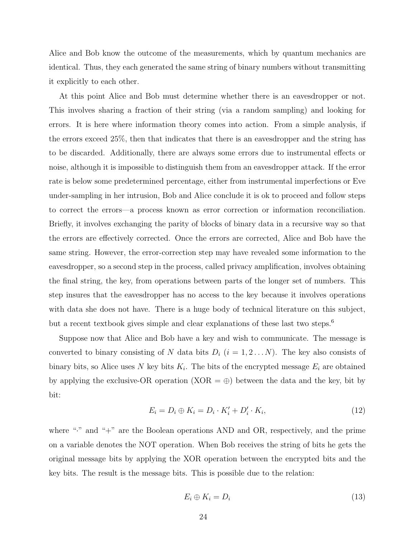Alice and Bob know the outcome of the measurements, which by quantum mechanics are identical. Thus, they each generated the same string of binary numbers without transmitting it explicitly to each other.

At this point Alice and Bob must determine whether there is an eavesdropper or not. This involves sharing a fraction of their string (via a random sampling) and looking for errors. It is here where information theory comes into action. From a simple analysis, if the errors exceed 25%, then that indicates that there is an eavesdropper and the string has to be discarded. Additionally, there are always some errors due to instrumental effects or noise, although it is impossible to distinguish them from an eavesdropper attack. If the error rate is below some predetermined percentage, either from instrumental imperfections or Eve under-sampling in her intrusion, Bob and Alice conclude it is ok to proceed and follow steps to correct the errors—a process known as error correction or information reconciliation. Briefly, it involves exchanging the parity of blocks of binary data in a recursive way so that the errors are effectively corrected. Once the errors are corrected, Alice and Bob have the same string. However, the error-correction step may have revealed some information to the eavesdropper, so a second step in the process, called privacy amplification, involves obtaining the final string, the key, from operations between parts of the longer set of numbers. This step insures that the eavesdropper has no access to the key because it involves operations with data she does not have. There is a huge body of technical literature on this subject, but a recent textbook gives simple and clear explanations of these last two steps.<sup>6</sup>

Suppose now that Alice and Bob have a key and wish to communicate. The message is converted to binary consisting of N data bits  $D_i$   $(i = 1, 2...N)$ . The key also consists of binary bits, so Alice uses N key bits  $K_i$ . The bits of the encrypted message  $E_i$  are obtained by applying the exclusive-OR operation  $(XOR = \oplus)$  between the data and the key, bit by bit:

$$
E_i = D_i \oplus K_i = D_i \cdot K'_i + D'_i \cdot K_i, \tag{12}
$$

where "." and "+" are the Boolean operations AND and OR, respectively, and the prime on a variable denotes the NOT operation. When Bob receives the string of bits he gets the original message bits by applying the XOR operation between the encrypted bits and the key bits. The result is the message bits. This is possible due to the relation:

$$
E_i \oplus K_i = D_i \tag{13}
$$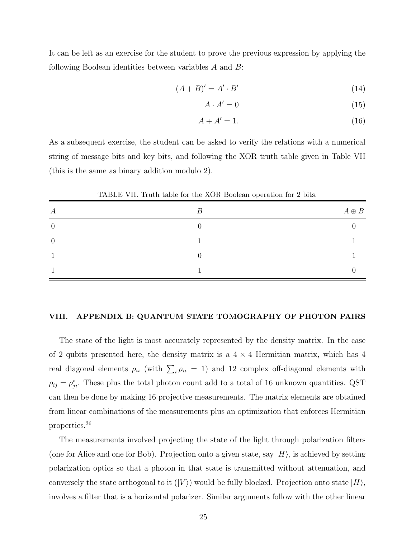It can be left as an exercise for the student to prove the previous expression by applying the following Boolean identities between variables A and B:

$$
(A + B)' = A' \cdot B'
$$
\n<sup>(14)</sup>

$$
A \cdot A' = 0 \tag{15}
$$

$$
A + A' = 1.\t(16)
$$

As a subsequent exercise, the student can be asked to verify the relations with a numerical string of message bits and key bits, and following the XOR truth table given in Table VII (this is the same as binary addition modulo 2).

| А        | B | $A\oplus B$ |
|----------|---|-------------|
|          |   |             |
| $\theta$ |   |             |
|          |   |             |
|          |   |             |

TABLE VII. Truth table for the XOR Boolean operation for 2 bits.

## VIII. APPENDIX B: QUANTUM STATE TOMOGRAPHY OF PHOTON PAIRS

The state of the light is most accurately represented by the density matrix. In the case of 2 qubits presented here, the density matrix is a  $4 \times 4$  Hermitian matrix, which has 4 real diagonal elements  $\rho_{ii}$  (with  $\sum_i \rho_{ii} = 1$ ) and 12 complex off-diagonal elements with  $\rho_{ij} = \rho_{ji}^*$ . These plus the total photon count add to a total of 16 unknown quantities. QST can then be done by making 16 projective measurements. The matrix elements are obtained from linear combinations of the measurements plus an optimization that enforces Hermitian properties.<sup>36</sup>

The measurements involved projecting the state of the light through polarization filters (one for Alice and one for Bob). Projection onto a given state, say  $|H\rangle$ , is achieved by setting polarization optics so that a photon in that state is transmitted without attenuation, and conversely the state orthogonal to it  $(|V\rangle)$  would be fully blocked. Projection onto state  $|H\rangle$ , involves a filter that is a horizontal polarizer. Similar arguments follow with the other linear